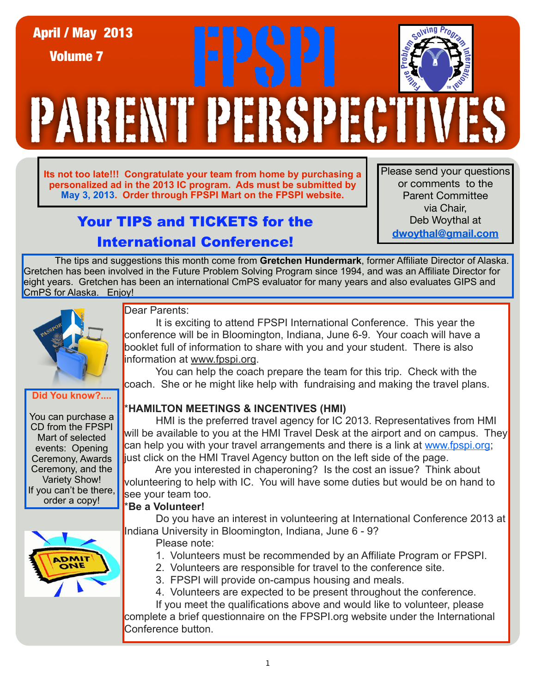# PARENT PERSPECTIVES April / May 2013<br>Volume 7<br>The May 2014 Fast Strategy April 2014 Volume 7

**Its not too late!!! Congratulate your team from home by purchasing a personalized ad in the 2013 IC program. Ads must be submitted by May 3, 2013. Order through FPSPI Mart on the FPSPI website.**

# Your TIPS and TICKETS for the International Conference!

Please send your questions or comments to the Parent Committee via Chair, Deb Woythal at **dwoythal@gmail.com**

The tips and suggestions this month come from **Gretchen Hundermark**[, former Affiliate Director of Alaska.](file://localhost/Users/crogers2/Desktop/January%20Tips%20provided%20by%20Carole%20Savitsky.docx)  [Gretchen has been involved in the Future Problem Solving Program since 1994, and was an Affiliate Director for](file://localhost/Users/crogers2/Desktop/January%20Tips%20provided%20by%20Carole%20Savitsky.docx)  eight years. Gretchen has been an international CmPS evaluator for many years and also evaluates GIPS and CmPS for Alaska. Enjoy!



**Did You know?....**

You can purchase a CD from the FPSPI Mart of selected events: Opening Ceremony, Awards Ceremony, and the Variety Show! If you can't be there, order a copy!

# Dear Parents:

 It is exciting to attend FPSPI International Conference. This year the conference will be in Bloomington, Indiana, June 6-9. Your coach will have a booklet full of information to share with you and your student. There is also information at [www.fpspi.org.](http://www.fpspi.org)

 You can help the coach prepare the team for this trip. Check with the coach. She or he might like help with fundraising and making the travel plans.

# \***HAMILTON MEETINGS & INCENTIVES (HMI)**

 HMI is the preferred travel agency for IC 2013. Representatives from HMI will be available to you at the HMI Travel Desk at the airport and on campus. They can help you with your travel arrangements and there is a link at [www.fpspi.org;](http://www.fpspi.org) just click on the HMI Travel Agency button on the left side of the page.

 Are you interested in chaperoning? Is the cost an issue? Think about volunteering to help with IC. You will have some duties but would be on hand to see your team too.

# \***Be a Volunteer!**

Do you have an interest in volunteering at International Conference 2013 at Indiana University in Bloomington, Indiana, June 6 - 9?

- Please note:
	- 1. Volunteers must be recommended by an Affiliate Program or FPSPI.
	- 2. Volunteers are responsible for travel to the conference site.
	- 3. FPSPI will provide on-campus housing and meals.
	- 4. Volunteers are expected to be present throughout the conference.

 If you meet the qualifications above and would like to volunteer, please complete a brief questionnaire on the FPSPI.org website under the International Conference button.

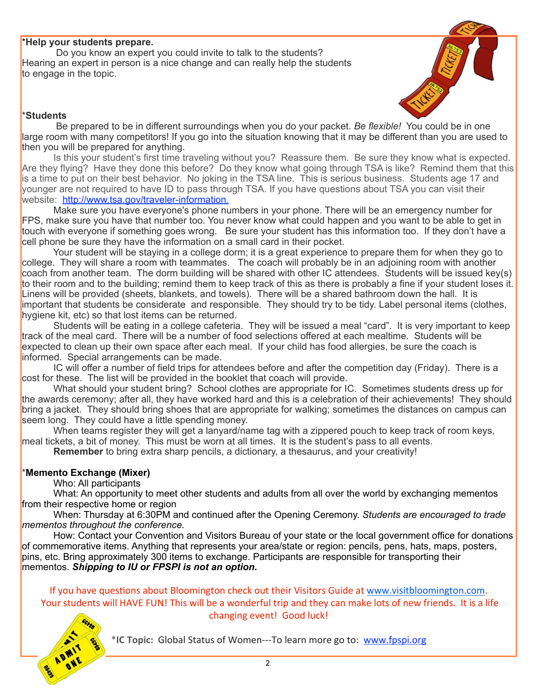#### \***Help your students prepare.**

 Do you know an expert you could invite to talk to the students? Hearing an expert in person is a nice change and can really help the students to engage in the topic.



#### \***Students**

 Be prepared to be in different surroundings when you do your packet. *Be flexible!* You could be in one large room with many competitors! If you go into the situation knowing that it may be different than you are used to then you will be prepared for anything.

 Is this your student's first time traveling without you? Reassure them. Be sure they know what is expected. Are they flying? Have they done this before? Do they know what going through TSA is like? Remind them that this is a time to put on their best behavior. No joking in the TSA line. This is serious business. Students age 17 and younger are not required to have ID to pass through TSA. If you have questions about TSA you can visit their website: [http://www.tsa.gov/traveler-information.](http://www.tsa.gov/traveler-information)

Make sure you have everyone's phone numbers in your phone. There will be an emergency number for FPS, make sure you have that number too. You never know what could happen and you want to be able to get in touch with everyone if something goes wrong. Be sure your student has this information too. If they don't have a cell phone be sure they have the information on a small card in their pocket.

 Your student will be staying in a college dorm; it is a great experience to prepare them for when they go to college. They will share a room with teammates. The coach will probably be in an adjoining room with another coach from another team. The dorm building will be shared with other IC attendees. Students will be issued key(s) to their room and to the building; remind them to keep track of this as there is probably a fine if your student loses it. Linens will be provided (sheets, blankets, and towels). There will be a shared bathroom down the hall. It is important that students be considerate and responsible. They should try to be tidy. Label personal items (clothes, hygiene kit, etc) so that lost items can be returned.

 Students will be eating in a college cafeteria. They will be issued a meal "card". It is very important to keep track of the meal card. There will be a number of food selections offered at each mealtime. Students will be expected to clean up their own space after each meal. If your child has food allergies, be sure the coach is informed. Special arrangements can be made.

 IC will offer a number of field trips for attendees before and after the competition day (Friday). There is a cost for these. The list will be provided in the booklet that coach will provide.

 What should your student bring? School clothes are appropriate for IC. Sometimes students dress up for the awards ceremony; after all, they have worked hard and this is a celebration of their achievements! They should bring a jacket. They should bring shoes that are appropriate for walking; sometimes the distances on campus can seem long. They could have a little spending money.

 When teams register they will get a lanyard/name tag with a zippered pouch to keep track of room keys, meal tickets, a bit of money. This must be worn at all times. It is the student's pass to all events.

**Remember** to bring extra sharp pencils, a dictionary, a thesaurus, and your creativity!

#### \***Memento Exchange (Mixer)**

Who: All participants

What: An opportunity to meet other students and adults from all over the world by exchanging mementos from their respective home or region

When: Thursday at 6:30PM and continued after the Opening Ceremony. *Students are encouraged to trade mementos throughout the conference.*

How: Contact your Convention and Visitors Bureau of your state or the local government office for donations of commemorative items. Anything that represents your area/state or region: pencils, pens, hats, maps, posters, pins, etc. Bring approximately 300 items to exchange. Participants are responsible for transporting their mementos. *Shipping to IU or FPSPI is not an option.*

If you have questions about Bloomington check out their Visitors Guide at [www.visitbloomington.com.](http://www.visitbloomington.com) Your students will HAVE FUN! This will be a wonderful trip and they can make lots of new friends. It is a life changing
event!

Good
luck!



\*IC Topic: Global Status of Women---To learn more go to: www.fpspi.org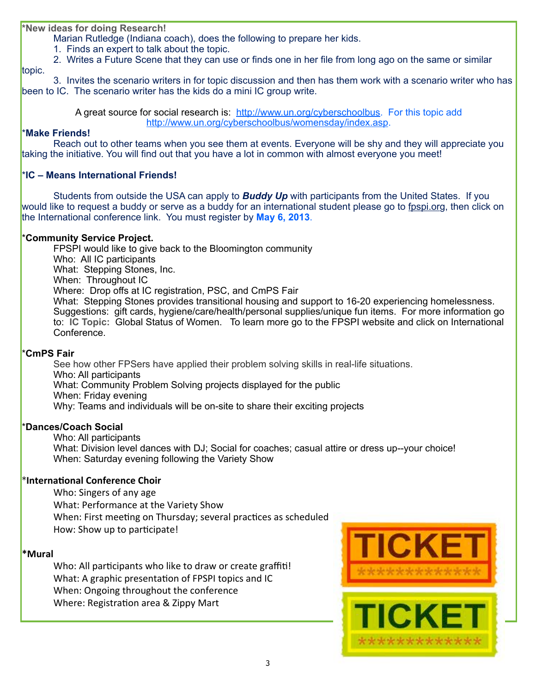**\*New ideas for doing Research!**

Marian Rutledge (Indiana coach), does the following to prepare her kids.

1. Finds an expert to talk about the topic.

2. Writes a Future Scene that they can use or finds one in her file from long ago on the same or similar

topic. 3. Invites the scenario writers in for topic discussion and then has them work with a scenario writer who has been to IC. The scenario writer has the kids do a mini IC group write.

> A great source for social research is: [http://www.un.org/cyberschoolbus.](http://www.un.org/cyberschoolbus) For this topic add [http://www.un.org/cyberschoolbus/womensday/index.asp.](http://www.un.org/cyberschoolbus/womensday/index.asp)

#### \***Make Friends!**

 Reach out to other teams when you see them at events. Everyone will be shy and they will appreciate you taking the initiative. You will find out that you have a lot in common with almost everyone you meet!

#### \***IC – Means International Friends!**

Students from outside the USA can apply to *Buddy Up* with participants from the United States. If you would like to request a buddy or serve as a buddy for an international student please go to fpspi.org, then click on the International conference link. You must register by **May 6, 2013**.

#### \***Community Service Project.**

FPSPI would like to give back to the Bloomington community Who: All IC participants What: Stepping Stones, Inc. When: Throughout IC Where: Drop offs at IC registration, PSC, and CmPS Fair What: Stepping Stones provides transitional housing and support to 16-20 experiencing homelessness. Suggestions: gift cards, hygiene/care/health/personal supplies/unique fun items. For more information go to: **IC Topic:** Global Status of Women. To learn more go to the FPSPI website and click on International Conference.

#### \***CmPS Fair**

See how other FPSers have applied their problem solving skills in real-life situations. Who: All participants What: Community Problem Solving projects displayed for the public When: Friday evening Why: Teams and individuals will be on-site to share their exciting projects

#### \***Dances/Coach Social**

Who: All participants

What: Division level dances with DJ; Social for coaches; casual attire or dress up--your choice! When: Saturday evening following the Variety Show

#### \*International Conference Choir

Who:
Singers
of
any
age What:
Performance
at
the
Variety
Show When: First meeting on Thursday; several practices as scheduled How: Show up to participate!

#### **\*Mural**

Who: All participants who like to draw or create graffiti! What: A graphic presentation of FPSPI topics and IC When:
Ongoing
throughout
the
conference Where: Registration area & Zippy Mart

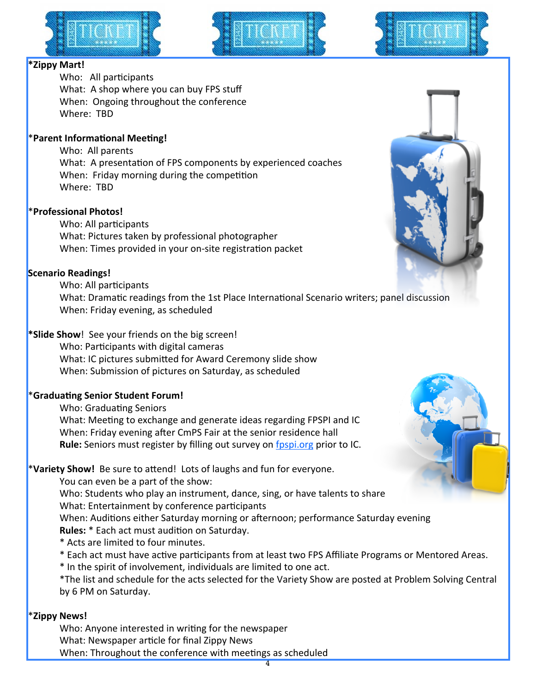



# **\*Zippy
Mart!**

Who: All participants What: A shop where you can buy FPS stuff When:

Ongoing
throughout
the
conference Where:

TBD

#### \*Parent Informational Meeting!

Who:

All
parents What: A presentation of FPS components by experienced coaches When: Friday morning during the competition Where: TBD

# \***Professional
Photos!**

Who: All participants What:
Pictures
taken
by
professional
photographer When: Times provided in your on-site registration packet

#### **Scenario
Readings!**

Who: All participants

What: Dramatic readings from the 1st Place International Scenario writers; panel discussion When:
Friday
evening,
as
scheduled

# \***Slide Show**! See your friends on the big screen!

Who: Participants with digital cameras What: IC pictures submitted for Award Ceremony slide show When:
Submission
of
pictures
on
Saturday,
as
scheduled

# **\*Graduating Senior Student Forum!**

Who: Graduating Seniors What: Meeting to exchange and generate ideas regarding FPSPI and IC When: Friday evening after CmPS Fair at the senior residence hall Rule: Seniors must register by filling out survey on fpspi.org prior to IC.

# \*Variety Show! Be sure to attend! Lots of laughs and fun for everyone.

You can even be a part of the show:

Who: Students who play an instrument, dance, sing, or have talents to share What: Entertainment by conference participants

When: Auditions either Saturday morning or afternoon; performance Saturday evening **Rules:** \* Each act must audition on Saturday.

\*
Acts
are
limited
to
four
minutes.

\* Each act must have active participants from at least two FPS Affiliate Programs or Mentored Areas.

\* In the spirit of involvement, individuals are limited to one act.

\*The list and schedule for the acts selected for the Variety Show are posted at Problem Solving Central by
6
PM
on
Saturday.

#### \***Zippy
News!**

Who: Anyone interested in writing for the newspaper What: Newspaper article for final Zippy News When: Throughout the conference with meetings as scheduled